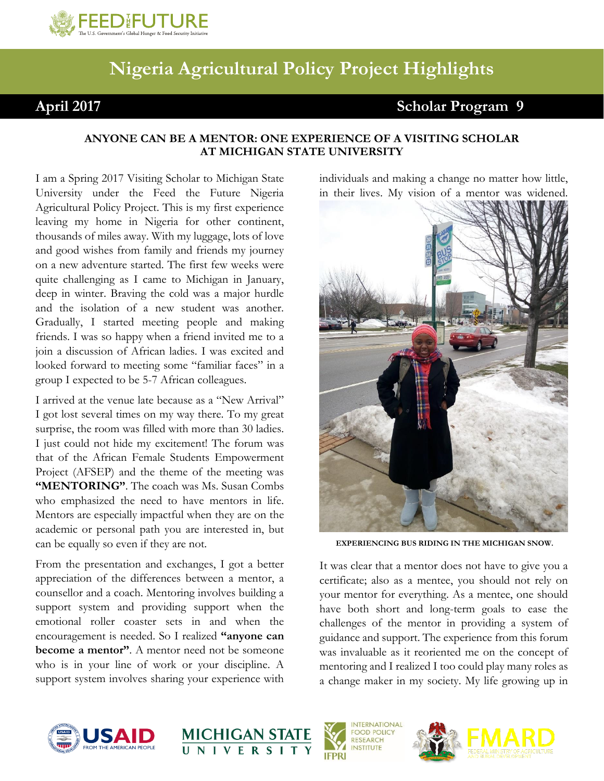

## **Nigeria Agricultural Policy Project Highlights**

## **April 2017 Scholar Program 9**

## **ANYONE CAN BE A MENTOR: ONE EXPERIENCE OF A VISITING SCHOLAR AT MICHIGAN STATE UNIVERSITY**

I am a Spring 2017 Visiting Scholar to Michigan State University under the Feed the Future Nigeria Agricultural Policy Project. This is my first experience leaving my home in Nigeria for other continent, thousands of miles away. With my luggage, lots of love and good wishes from family and friends my journey on a new adventure started. The first few weeks were quite challenging as I came to Michigan in January, deep in winter. Braving the cold was a major hurdle and the isolation of a new student was another. Gradually, I started meeting people and making friends. I was so happy when a friend invited me to a join a discussion of African ladies. I was excited and looked forward to meeting some "familiar faces" in a group I expected to be 5-7 African colleagues.

I arrived at the venue late because as a "New Arrival" I got lost several times on my way there. To my great surprise, the room was filled with more than 30 ladies. I just could not hide my excitement! The forum was that of the African Female Students Empowerment Project (AFSEP) and the theme of the meeting was **"MENTORING"**. The coach was Ms. Susan Combs who emphasized the need to have mentors in life. Mentors are especially impactful when they are on the academic or personal path you are interested in, but can be equally so even if they are not.

From the presentation and exchanges, I got a better appreciation of the differences between a mentor, a counsellor and a coach. Mentoring involves building a support system and providing support when the emotional roller coaster sets in and when the encouragement is needed. So I realized **"anyone can become a mentor"**. A mentor need not be someone who is in your line of work or your discipline. A support system involves sharing your experience with

individuals and making a change no matter how little, in their lives. My vision of a mentor was widened.



**EXPERIENCING BUS RIDING IN THE MICHIGAN SNOW.**

It was clear that a mentor does not have to give you a certificate; also as a mentee, you should not rely on your mentor for everything. As a mentee, one should have both short and long-term goals to ease the challenges of the mentor in providing a system of guidance and support. The experience from this forum was invaluable as it reoriented me on the concept of mentoring and I realized I too could play many roles as a change maker in my society. My life growing up in